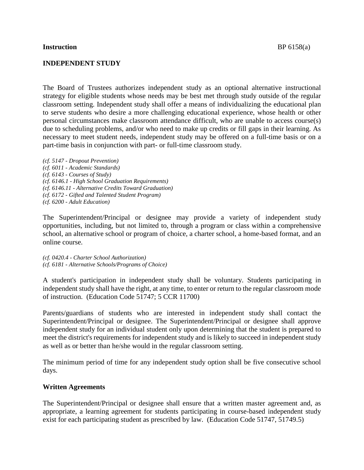#### **INDEPENDENT STUDY**

The Board of Trustees authorizes independent study as an optional alternative instructional strategy for eligible students whose needs may be best met through study outside of the regular classroom setting. Independent study shall offer a means of individualizing the educational plan to serve students who desire a more challenging educational experience, whose health or other personal circumstances make classroom attendance difficult, who are unable to access course(s) due to scheduling problems, and/or who need to make up credits or fill gaps in their learning. As necessary to meet student needs, independent study may be offered on a full-time basis or on a part-time basis in conjunction with part- or full-time classroom study.

*(cf. 5147 - Dropout Prevention) (cf. 6011 - Academic Standards) (cf. 6143 - Courses of Study) (cf. 6146.1 - High School Graduation Requirements) (cf. 6146.11 - Alternative Credits Toward Graduation) (cf. 6172 - Gifted and Talented Student Program) (cf. 6200 - Adult Education)*

The Superintendent/Principal or designee may provide a variety of independent study opportunities, including, but not limited to, through a program or class within a comprehensive school, an alternative school or program of choice, a charter school, a home-based format, and an online course.

*(cf. 0420.4 - Charter School Authorization) (cf. 6181 - Alternative Schools/Programs of Choice)*

A student's participation in independent study shall be voluntary. Students participating in independent study shall have the right, at any time, to enter or return to the regular classroom mode of instruction. (Education Code 51747; 5 CCR 11700)

Parents/guardians of students who are interested in independent study shall contact the Superintendent/Principal or designee. The Superintendent/Principal or designee shall approve independent study for an individual student only upon determining that the student is prepared to meet the district's requirements for independent study and is likely to succeed in independent study as well as or better than he/she would in the regular classroom setting.

The minimum period of time for any independent study option shall be five consecutive school days.

#### **Written Agreements**

The Superintendent/Principal or designee shall ensure that a written master agreement and, as appropriate, a learning agreement for students participating in course-based independent study exist for each participating student as prescribed by law. (Education Code 51747, 51749.5)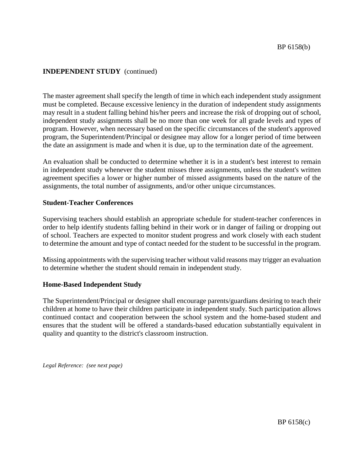The master agreement shall specify the length of time in which each independent study assignment must be completed. Because excessive leniency in the duration of independent study assignments may result in a student falling behind his/her peers and increase the risk of dropping out of school, independent study assignments shall be no more than one week for all grade levels and types of program. However, when necessary based on the specific circumstances of the student's approved program, the Superintendent/Principal or designee may allow for a longer period of time between the date an assignment is made and when it is due, up to the termination date of the agreement.

An evaluation shall be conducted to determine whether it is in a student's best interest to remain in independent study whenever the student misses three assignments, unless the student's written agreement specifies a lower or higher number of missed assignments based on the nature of the assignments, the total number of assignments, and/or other unique circumstances.

#### **Student-Teacher Conferences**

Supervising teachers should establish an appropriate schedule for student-teacher conferences in order to help identify students falling behind in their work or in danger of failing or dropping out of school. Teachers are expected to monitor student progress and work closely with each student to determine the amount and type of contact needed for the student to be successful in the program.

Missing appointments with the supervising teacher without valid reasons may trigger an evaluation to determine whether the student should remain in independent study.

## **Home-Based Independent Study**

The Superintendent/Principal or designee shall encourage parents/guardians desiring to teach their children at home to have their children participate in independent study. Such participation allows continued contact and cooperation between the school system and the home-based student and ensures that the student will be offered a standards-based education substantially equivalent in quality and quantity to the district's classroom instruction.

*Legal Reference: (see next page)*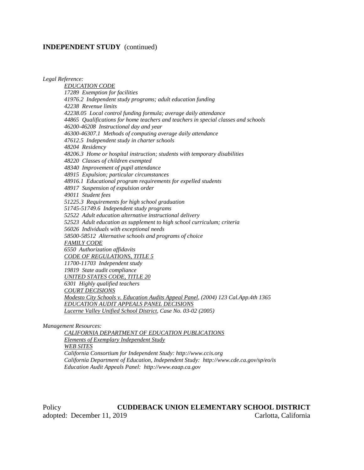*Legal Reference: EDUCATION CODE 17289 Exemption for facilities 41976.2 Independent study programs; adult education funding 42238 Revenue limits 42238.05 Local control funding formula; average daily attendance 44865 Qualifications for home teachers and teachers in special classes and schools 46200-46208 Instructional day and year 46300-46307.1 Methods of computing average daily attendance 47612.5 Independent study in charter schools 48204 Residency 48206.3 Home or hospital instruction; students with temporary disabilities 48220 Classes of children exempted 48340 Improvement of pupil attendance 48915 Expulsion; particular circumstances 48916.1 Educational program requirements for expelled students 48917 Suspension of expulsion order 49011 Student fees 51225.3 Requirements for high school graduation 51745-51749.6 Independent study programs 52522 Adult education alternative instructional delivery 52523 Adult education as supplement to high school curriculum; criteria 56026 Individuals with exceptional needs 58500-58512 Alternative schools and programs of choice FAMILY CODE 6550 Authorization affidavits CODE OF REGULATIONS, TITLE 5 11700-11703 Independent study 19819 State audit compliance UNITED STATES CODE, TITLE 20 6301 Highly qualified teachers COURT DECISIONS Modesto City Schools v. Education Audits Appeal Panel, (2004) 123 Cal.App.4th 1365 EDUCATION AUDIT APPEALS PANEL DECISIONS Lucerne Valley Unified School District, Case No. 03-02 (2005)*

*Management Resources:*

*CALIFORNIA DEPARTMENT OF EDUCATION PUBLICATIONS Elements of Exemplary Independent Study WEB SITES California Consortium for Independent Study: http://www.ccis.org California Department of Education, Independent Study: http://www.cde.ca.gov/sp/eo/is Education Audit Appeals Panel: http://www.eaap.ca.gov*

Policy **CUDDEBACK UNION ELEMENTARY SCHOOL DISTRICT** adopted: December 11, 2019 Carlotta, California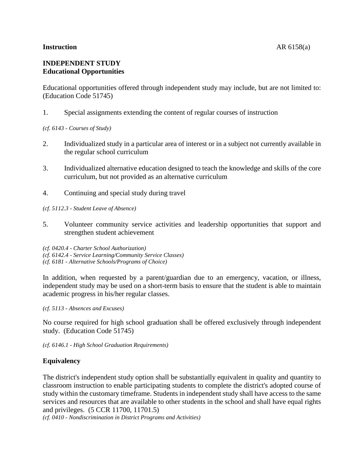#### **Instruction** AR 6158(a)

# **INDEPENDENT STUDY Educational Opportunities**

Educational opportunities offered through independent study may include, but are not limited to: (Education Code 51745)

1. Special assignments extending the content of regular courses of instruction

*(cf. 6143 - Courses of Study)*

- 2. Individualized study in a particular area of interest or in a subject not currently available in the regular school curriculum
- 3. Individualized alternative education designed to teach the knowledge and skills of the core curriculum, but not provided as an alternative curriculum
- 4. Continuing and special study during travel

*(cf. 5112.3 - Student Leave of Absence)*

- 5. Volunteer community service activities and leadership opportunities that support and strengthen student achievement
- *(cf. 0420.4 - Charter School Authorization)*
- *(cf. 6142.4 - Service Learning/Community Service Classes)*
- *(cf. 6181 - Alternative Schools/Programs of Choice)*

In addition, when requested by a parent/guardian due to an emergency, vacation, or illness, independent study may be used on a short-term basis to ensure that the student is able to maintain academic progress in his/her regular classes.

*(cf. 5113 - Absences and Excuses)*

No course required for high school graduation shall be offered exclusively through independent study. (Education Code 51745)

*(cf. 6146.1 - High School Graduation Requirements)*

# **Equivalency**

The district's independent study option shall be substantially equivalent in quality and quantity to classroom instruction to enable participating students to complete the district's adopted course of study within the customary timeframe. Students in independent study shall have access to the same services and resources that are available to other students in the school and shall have equal rights and privileges. (5 CCR 11700, 11701.5)

*(cf. 0410 - Nondiscrimination in District Programs and Activities)*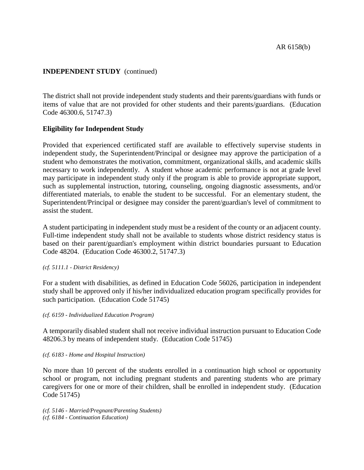The district shall not provide independent study students and their parents/guardians with funds or items of value that are not provided for other students and their parents/guardians. (Education Code 46300.6, 51747.3)

## **Eligibility for Independent Study**

Provided that experienced certificated staff are available to effectively supervise students in independent study, the Superintendent/Principal or designee may approve the participation of a student who demonstrates the motivation, commitment, organizational skills, and academic skills necessary to work independently. A student whose academic performance is not at grade level may participate in independent study only if the program is able to provide appropriate support, such as supplemental instruction, tutoring, counseling, ongoing diagnostic assessments, and/or differentiated materials, to enable the student to be successful. For an elementary student, the Superintendent/Principal or designee may consider the parent/guardian's level of commitment to assist the student.

A student participating in independent study must be a resident of the county or an adjacent county. Full-time independent study shall not be available to students whose district residency status is based on their parent/guardian's employment within district boundaries pursuant to Education Code 48204. (Education Code 46300.2, 51747.3)

*(cf. 5111.1 - District Residency)*

For a student with disabilities, as defined in Education Code 56026, participation in independent study shall be approved only if his/her individualized education program specifically provides for such participation. (Education Code 51745)

*(cf. 6159 - Individualized Education Program)*

A temporarily disabled student shall not receive individual instruction pursuant to Education Code 48206.3 by means of independent study. (Education Code 51745)

#### *(cf. 6183 - Home and Hospital Instruction)*

No more than 10 percent of the students enrolled in a continuation high school or opportunity school or program, not including pregnant students and parenting students who are primary caregivers for one or more of their children, shall be enrolled in independent study. (Education Code 51745)

*(cf. 5146 - Married/Pregnant/Parenting Students) (cf. 6184 - Continuation Education)*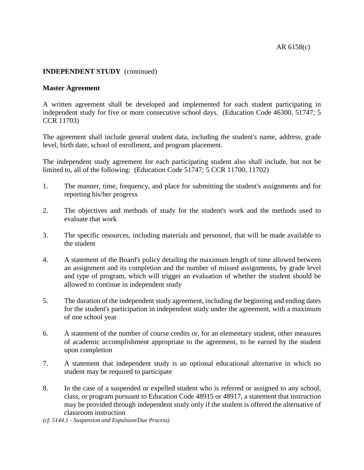### **Master Agreement**

A written agreement shall be developed and implemented for each student participating in independent study for five or more consecutive school days. (Education Code 46300, 51747; 5 CCR 11703)

The agreement shall include general student data, including the student's name, address, grade level, birth date, school of enrollment, and program placement.

The independent study agreement for each participating student also shall include, but not be limited to, all of the following: (Education Code 51747; 5 CCR 11700, 11702)

- 1. The manner, time, frequency, and place for submitting the student's assignments and for reporting his/her progress
- 2. The objectives and methods of study for the student's work and the methods used to evaluate that work
- 3. The specific resources, including materials and personnel, that will be made available to the student
- 4. A statement of the Board's policy detailing the maximum length of time allowed between an assignment and its completion and the number of missed assignments, by grade level and type of program, which will trigger an evaluation of whether the student should be allowed to continue in independent study
- 5. The duration of the independent study agreement, including the beginning and ending dates for the student's participation in independent study under the agreement, with a maximum of one school year
- 6. A statement of the number of course credits or, for an elementary student, other measures of academic accomplishment appropriate to the agreement, to be earned by the student upon completion
- 7. A statement that independent study is an optional educational alternative in which no student may be required to participate
- 8. In the case of a suspended or expelled student who is referred or assigned to any school, class, or program pursuant to Education Code 48915 or 48917, a statement that instruction may be provided through independent study only if the student is offered the alternative of classroom instruction
- *(cf. 5144.1 - Suspension and Expulsion/Due Process)*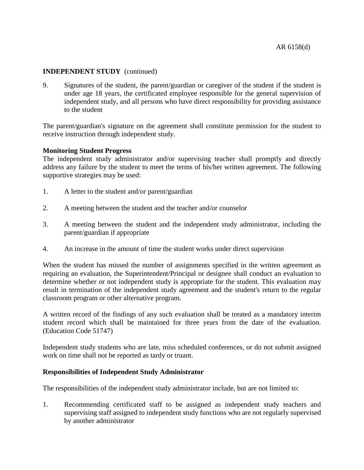9. Signatures of the student, the parent/guardian or caregiver of the student if the student is under age 18 years, the certificated employee responsible for the general supervision of independent study, and all persons who have direct responsibility for providing assistance to the student

The parent/guardian's signature on the agreement shall constitute permission for the student to receive instruction through independent study.

## **Monitoring Student Progress**

The independent study administrator and/or supervising teacher shall promptly and directly address any failure by the student to meet the terms of his/her written agreement. The following supportive strategies may be used:

- 1. A letter to the student and/or parent/guardian
- 2. A meeting between the student and the teacher and/or counselor
- 3. A meeting between the student and the independent study administrator, including the parent/guardian if appropriate
- 4. An increase in the amount of time the student works under direct supervision

When the student has missed the number of assignments specified in the written agreement as requiring an evaluation, the Superintendent/Principal or designee shall conduct an evaluation to determine whether or not independent study is appropriate for the student. This evaluation may result in termination of the independent study agreement and the student's return to the regular classroom program or other alternative program.

A written record of the findings of any such evaluation shall be treated as a mandatory interim student record which shall be maintained for three years from the date of the evaluation. (Education Code 51747)

Independent study students who are late, miss scheduled conferences, or do not submit assigned work on time shall not be reported as tardy or truant.

## **Responsibilities of Independent Study Administrator**

The responsibilities of the independent study administrator include, but are not limited to:

1. Recommending certificated staff to be assigned as independent study teachers and supervising staff assigned to independent study functions who are not regularly supervised by another administrator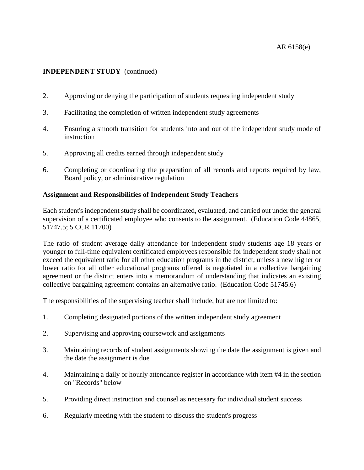- 2. Approving or denying the participation of students requesting independent study
- 3. Facilitating the completion of written independent study agreements
- 4. Ensuring a smooth transition for students into and out of the independent study mode of instruction
- 5. Approving all credits earned through independent study
- 6. Completing or coordinating the preparation of all records and reports required by law, Board policy, or administrative regulation

## **Assignment and Responsibilities of Independent Study Teachers**

Each student's independent study shall be coordinated, evaluated, and carried out under the general supervision of a certificated employee who consents to the assignment. (Education Code 44865, 51747.5; 5 CCR 11700)

The ratio of student average daily attendance for independent study students age 18 years or younger to full-time equivalent certificated employees responsible for independent study shall not exceed the equivalent ratio for all other education programs in the district, unless a new higher or lower ratio for all other educational programs offered is negotiated in a collective bargaining agreement or the district enters into a memorandum of understanding that indicates an existing collective bargaining agreement contains an alternative ratio. (Education Code 51745.6)

The responsibilities of the supervising teacher shall include, but are not limited to:

- 1. Completing designated portions of the written independent study agreement
- 2. Supervising and approving coursework and assignments
- 3. Maintaining records of student assignments showing the date the assignment is given and the date the assignment is due
- 4. Maintaining a daily or hourly attendance register in accordance with item #4 in the section on "Records" below
- 5. Providing direct instruction and counsel as necessary for individual student success
- 6. Regularly meeting with the student to discuss the student's progress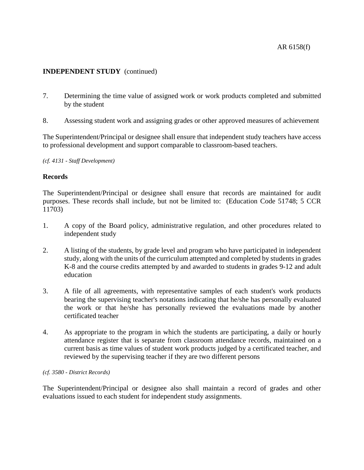- 7. Determining the time value of assigned work or work products completed and submitted by the student
- 8. Assessing student work and assigning grades or other approved measures of achievement

The Superintendent/Principal or designee shall ensure that independent study teachers have access to professional development and support comparable to classroom-based teachers.

*(cf. 4131 - Staff Development)*

## **Records**

The Superintendent/Principal or designee shall ensure that records are maintained for audit purposes. These records shall include, but not be limited to: (Education Code 51748; 5 CCR 11703)

- 1. A copy of the Board policy, administrative regulation, and other procedures related to independent study
- 2. A listing of the students, by grade level and program who have participated in independent study, along with the units of the curriculum attempted and completed by students in grades K-8 and the course credits attempted by and awarded to students in grades 9-12 and adult education
- 3. A file of all agreements, with representative samples of each student's work products bearing the supervising teacher's notations indicating that he/she has personally evaluated the work or that he/she has personally reviewed the evaluations made by another certificated teacher
- 4. As appropriate to the program in which the students are participating, a daily or hourly attendance register that is separate from classroom attendance records, maintained on a current basis as time values of student work products judged by a certificated teacher, and reviewed by the supervising teacher if they are two different persons

#### *(cf. 3580 - District Records)*

The Superintendent/Principal or designee also shall maintain a record of grades and other evaluations issued to each student for independent study assignments.